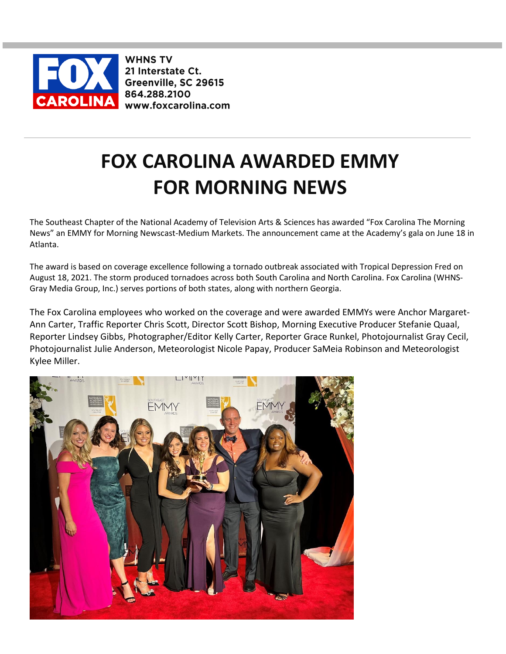

**WHNS TV** 21 Interstate Ct. Greenville, SC 29615 864.288.2100 www.foxcarolina.com

## **FOX CAROLINA AWARDED EMMY FOR MORNING NEWS**

The Southeast Chapter of the National Academy of Television Arts & Sciences has awarded "Fox Carolina The Morning News" an EMMY for Morning Newscast-Medium Markets. The announcement came at the Academy's gala on June 18 in Atlanta.

The award is based on coverage excellence following a tornado outbreak associated with Tropical Depression Fred on August 18, 2021. The storm produced tornadoes across both South Carolina and North Carolina. Fox Carolina (WHNS-Gray Media Group, Inc.) serves portions of both states, along with northern Georgia.

The Fox Carolina employees who worked on the coverage and were awarded EMMYs were Anchor Margaret-Ann Carter, Traffic Reporter Chris Scott, Director Scott Bishop, Morning Executive Producer Stefanie Quaal, Reporter Lindsey Gibbs, Photographer/Editor Kelly Carter, Reporter Grace Runkel, Photojournalist Gray Cecil, Photojournalist Julie Anderson, Meteorologist Nicole Papay, Producer SaMeia Robinson and Meteorologist Kylee Miller.